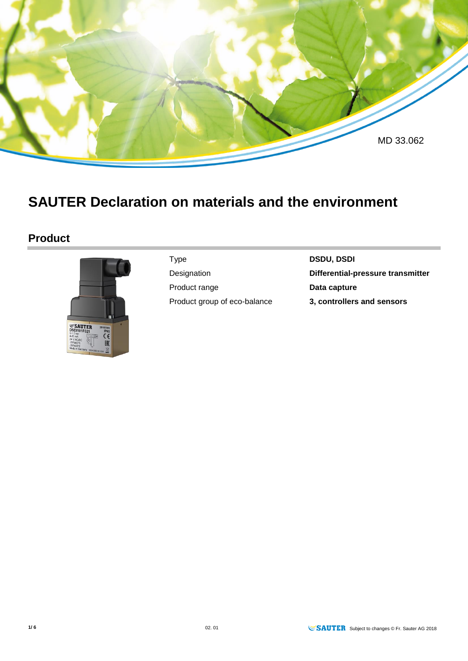

# **SAUTER Declaration on materials and the environment**

## **Product**



Product range **Data capture** Product group of eco-balance **3, controllers and sensors**

Type **DSDU, DSDI**

Designation **Differential-pressure transmitter**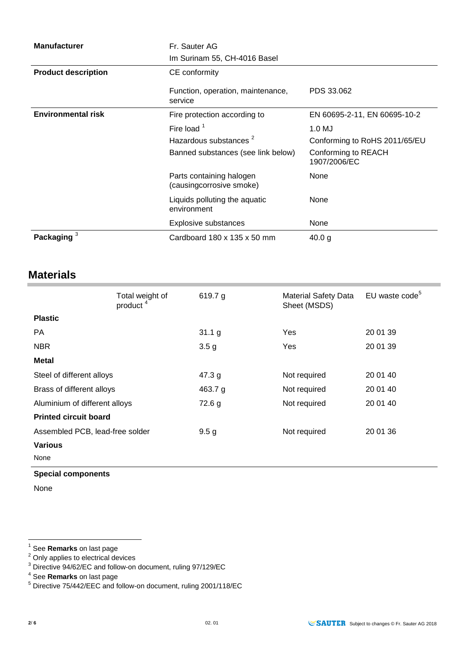| <b>Manufacturer</b>        | Fr. Sauter AG<br>Im Surinam 55, CH-4016 Basel        |                                     |  |
|----------------------------|------------------------------------------------------|-------------------------------------|--|
| <b>Product description</b> | CE conformity                                        |                                     |  |
|                            | Function, operation, maintenance,<br>service         | PDS 33.062                          |  |
| <b>Environmental risk</b>  | Fire protection according to                         | EN 60695-2-11, EN 60695-10-2        |  |
|                            | Fire load $1$                                        | 1.0 MJ                              |  |
|                            | Hazardous substances <sup>2</sup>                    | Conforming to RoHS 2011/65/EU       |  |
|                            | Banned substances (see link below)                   | Conforming to REACH<br>1907/2006/EC |  |
|                            | Parts containing halogen<br>(causingcorrosive smoke) | None                                |  |
|                            | Liquids polluting the aquatic<br>environment         | None                                |  |
|                            | Explosive substances                                 | None                                |  |
| Packaging <sup>3</sup>     | Cardboard $180 \times 135 \times 50$ mm              | 40.0 g                              |  |

## **Materials**

|                                 | Total weight of<br>product <sup>4</sup> | 619.7 g          | <b>Material Safety Data</b><br>Sheet (MSDS) | EU waste code <sup>5</sup> |
|---------------------------------|-----------------------------------------|------------------|---------------------------------------------|----------------------------|
| <b>Plastic</b>                  |                                         |                  |                                             |                            |
| PA.                             |                                         | 31.1 g           | Yes                                         | 20 01 39                   |
| <b>NBR</b>                      |                                         | 3.5 <sub>g</sub> | Yes                                         | 20 01 39                   |
| <b>Metal</b>                    |                                         |                  |                                             |                            |
| Steel of different alloys       |                                         | 47.3 $g$         | Not required                                | 20 01 40                   |
| Brass of different alloys       |                                         | 463.7 $g$        | Not required                                | 20 01 40                   |
| Aluminium of different alloys   |                                         | 72.6 g           | Not required                                | 20 01 40                   |
| <b>Printed circuit board</b>    |                                         |                  |                                             |                            |
| Assembled PCB, lead-free solder |                                         | 9.5 <sub>g</sub> | Not required                                | 20 01 36                   |
| <b>Various</b>                  |                                         |                  |                                             |                            |
| None                            |                                         |                  |                                             |                            |

#### **Special components**

None

 1 See **Remarks** on last page

 $2$  Only applies to electrical devices

 $3$  Directive 94/62/EC and follow-on document, ruling 97/129/EC

<sup>4</sup> See **Remarks** on last page

<sup>5</sup> Directive 75/442/EEC and follow-on document, ruling 2001/118/EC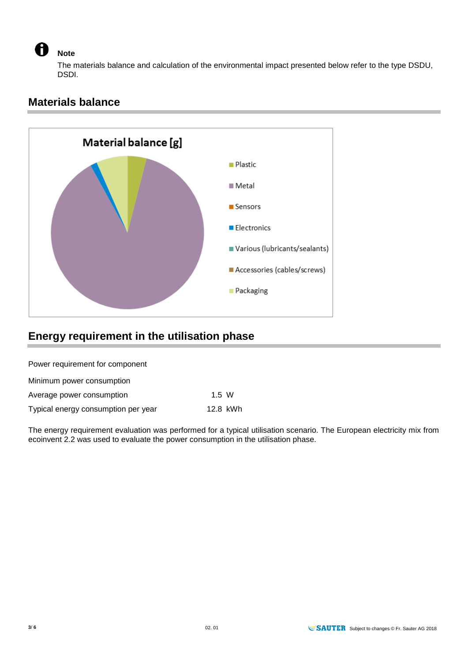**Note** 

The materials balance and calculation of the environmental impact presented below refer to the type DSDU, DSDI.

## **Materials balance**



## **Energy requirement in the utilisation phase**

Power requirement for component

| Minimum power consumption           |          |  |
|-------------------------------------|----------|--|
| Average power consumption           | 1.5 W    |  |
| Typical energy consumption per year | 12.8 kWh |  |

The energy requirement evaluation was performed for a typical utilisation scenario. The European electricity mix from ecoinvent 2.2 was used to evaluate the power consumption in the utilisation phase.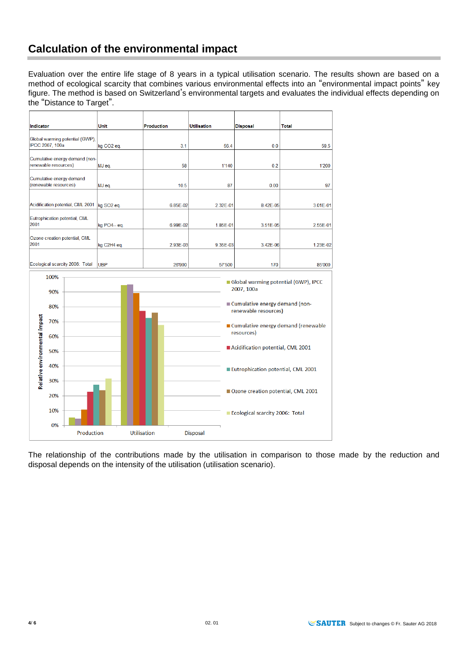## **Calculation of the environmental impact**

Evaluation over the entire life stage of 8 years in a typical utilisation scenario. The results shown are based on a method of ecological scarcity that combines various environmental effects into an "environmental impact points" key figure. The method is based on Switzerland's environmental targets and evaluates the individual effects depending on the "Distance to Target".

| Indicator                                                                                  | Unit                   | <b>Production</b> | <b>Utilisation</b> | Disposal     | <b>Total</b> |
|--------------------------------------------------------------------------------------------|------------------------|-------------------|--------------------|--------------|--------------|
|                                                                                            |                        |                   |                    |              |              |
| Global warming potential (GWP),<br>IPCC 2007, 100a                                         | kg CO <sub>2</sub> eg. | 3.1               | 56.4               | 0.0          | 59.5         |
| Cumulative energy demand (non-                                                             |                        |                   |                    |              |              |
| renewable resources)                                                                       | MJ eq.                 | 58                | 1'140              | 0.2          | 1'200        |
|                                                                                            |                        |                   |                    |              |              |
| (renewable resources)                                                                      | MJ eq.                 | 10.5              | 87                 | 0.00         | 97           |
|                                                                                            |                        |                   |                    |              |              |
| Acidification potential, CML 2001                                                          | kg SO <sub>2</sub> eq. | 6.85E-02          | 2.32E-01           | 8.42E-05     | 3.01E-01     |
|                                                                                            |                        |                   |                    |              |              |
| 2001                                                                                       | kg PO4-- eq.           | 6.99E-02          | $1.85E-01$         | $3.51E - 05$ | 2.55E-01     |
|                                                                                            |                        |                   |                    |              |              |
| 2001                                                                                       | kg C2H4 eq.            | 2.93E-03          | 9.35E-03           | 3.42E-06     | 1.23E-02     |
|                                                                                            |                        |                   |                    |              |              |
| Ecological scarcity 2006: Total                                                            | <b>IUBP</b>            | 26'900            | 57'500             | 170          | 85'000       |
| Cumulative energy demand<br>Eutrophication potential, CML<br>Ozone creation potential, CML |                        |                   |                    |              |              |



The relationship of the contributions made by the utilisation in comparison to those made by the reduction and disposal depends on the intensity of the utilisation (utilisation scenario).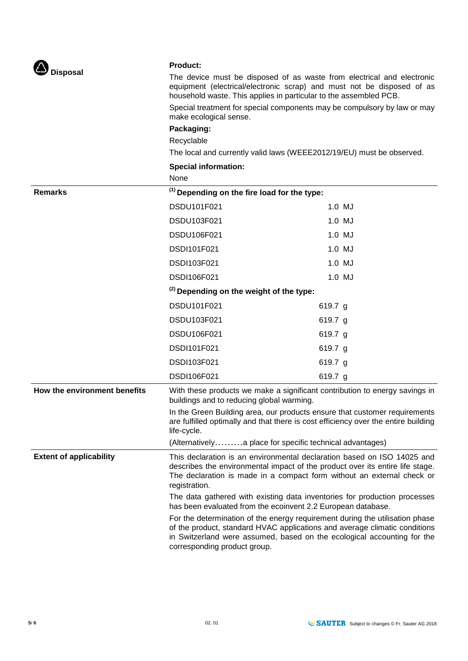

#### **Product:**

The device must be disposed of as waste from electrical and electronic equipment (electrical/electronic scrap) and must not be disposed of as household waste. This applies in particular to the assembled PCB.

Special treatment for special components may be compulsory by law or may make ecological sense.

#### **Packaging:**

Recyclable

The local and currently valid laws (WEEE2012/19/EU) must be observed.

#### **Special information:**

|                                | None                                                                                                                                                                                                                                                                  |                                                          |  |
|--------------------------------|-----------------------------------------------------------------------------------------------------------------------------------------------------------------------------------------------------------------------------------------------------------------------|----------------------------------------------------------|--|
| <b>Remarks</b>                 | <sup>(1)</sup> Depending on the fire load for the type:                                                                                                                                                                                                               |                                                          |  |
|                                | DSDU101F021                                                                                                                                                                                                                                                           | 1.0 MJ                                                   |  |
|                                | DSDU103F021                                                                                                                                                                                                                                                           | 1.0 MJ                                                   |  |
|                                | DSDU106F021                                                                                                                                                                                                                                                           | 1.0 MJ                                                   |  |
|                                | DSDI101F021                                                                                                                                                                                                                                                           | 1.0 MJ                                                   |  |
|                                | DSDI103F021                                                                                                                                                                                                                                                           | 1.0 MJ                                                   |  |
|                                | DSDI106F021                                                                                                                                                                                                                                                           | 1.0 MJ                                                   |  |
|                                | <sup>(2)</sup> Depending on the weight of the type:                                                                                                                                                                                                                   |                                                          |  |
|                                | DSDU101F021                                                                                                                                                                                                                                                           | 619.7 g                                                  |  |
|                                | DSDU103F021                                                                                                                                                                                                                                                           | 619.7 g                                                  |  |
|                                | DSDU106F021                                                                                                                                                                                                                                                           | 619.7 g                                                  |  |
|                                | DSDI101F021                                                                                                                                                                                                                                                           | 619.7 $g$                                                |  |
|                                | DSDI103F021                                                                                                                                                                                                                                                           | 619.7 g                                                  |  |
|                                | DSDI106F021                                                                                                                                                                                                                                                           | 619.7 g                                                  |  |
| How the environment benefits   | With these products we make a significant contribution to energy savings in<br>buildings and to reducing global warming.                                                                                                                                              |                                                          |  |
|                                | In the Green Building area, our products ensure that customer requirements<br>are fulfilled optimally and that there is cost efficiency over the entire building<br>life-cycle.                                                                                       |                                                          |  |
|                                |                                                                                                                                                                                                                                                                       | (Alternativelya place for specific technical advantages) |  |
| <b>Extent of applicability</b> | This declaration is an environmental declaration based on ISO 14025 and<br>describes the environmental impact of the product over its entire life stage.<br>The declaration is made in a compact form without an external check or<br>registration.                   |                                                          |  |
|                                | The data gathered with existing data inventories for production processes<br>has been evaluated from the ecoinvent 2.2 European database.                                                                                                                             |                                                          |  |
|                                | For the determination of the energy requirement during the utilisation phase<br>of the product, standard HVAC applications and average climatic conditions<br>in Switzerland were assumed, based on the ecological accounting for the<br>corresponding product group. |                                                          |  |